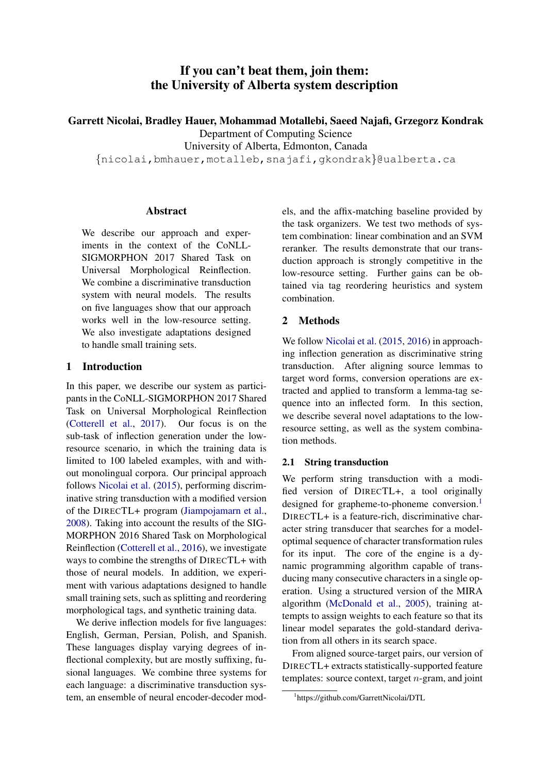# If you can't beat them, join them: the University of Alberta system description

Garrett Nicolai, Bradley Hauer, Mohammad Motallebi, Saeed Najafi, Grzegorz Kondrak

Department of Computing Science

University of Alberta, Edmonton, Canada

{nicolai,bmhauer,motalleb,snajafi,gkondrak}@ualberta.ca

# Abstract

We describe our approach and experiments in the context of the CoNLL-SIGMORPHON 2017 Shared Task on Universal Morphological Reinflection. We combine a discriminative transduction system with neural models. The results on five languages show that our approach works well in the low-resource setting. We also investigate adaptations designed to handle small training sets.

# 1 Introduction

In this paper, we describe our system as participants in the CoNLL-SIGMORPHON 2017 Shared Task on Universal Morphological Reinflection [\(Cotterell et al.,](#page-5-0) [2017\)](#page-5-0). Our focus is on the sub-task of inflection generation under the lowresource scenario, in which the training data is limited to 100 labeled examples, with and without monolingual corpora. Our principal approach follows [Nicolai et al.](#page-5-1) [\(2015\)](#page-5-1), performing discriminative string transduction with a modified version of the DIRECTL+ program [\(Jiampojamarn et al.,](#page-5-2) [2008\)](#page-5-2). Taking into account the results of the SIG-MORPHON 2016 Shared Task on Morphological Reinflection [\(Cotterell et al.,](#page-5-3) [2016\)](#page-5-3), we investigate ways to combine the strengths of DIRECTL+ with those of neural models. In addition, we experiment with various adaptations designed to handle small training sets, such as splitting and reordering morphological tags, and synthetic training data.

We derive inflection models for five languages: English, German, Persian, Polish, and Spanish. These languages display varying degrees of inflectional complexity, but are mostly suffixing, fusional languages. We combine three systems for each language: a discriminative transduction system, an ensemble of neural encoder-decoder models, and the affix-matching baseline provided by the task organizers. We test two methods of system combination: linear combination and an SVM reranker. The results demonstrate that our transduction approach is strongly competitive in the low-resource setting. Further gains can be obtained via tag reordering heuristics and system combination.

# 2 Methods

We follow [Nicolai et al.](#page-5-1) [\(2015,](#page-5-1) [2016\)](#page-5-4) in approaching inflection generation as discriminative string transduction. After aligning source lemmas to target word forms, conversion operations are extracted and applied to transform a lemma-tag sequence into an inflected form. In this section, we describe several novel adaptations to the lowresource setting, as well as the system combination methods.

# 2.1 String transduction

We perform string transduction with a modified version of DIRECTL+, a tool originally designed for grapheme-to-phoneme conversion.<sup>[1](#page-0-0)</sup> DIRECTL+ is a feature-rich, discriminative character string transducer that searches for a modeloptimal sequence of character transformation rules for its input. The core of the engine is a dynamic programming algorithm capable of transducing many consecutive characters in a single operation. Using a structured version of the MIRA algorithm [\(McDonald et al.,](#page-5-5) [2005\)](#page-5-5), training attempts to assign weights to each feature so that its linear model separates the gold-standard derivation from all others in its search space.

From aligned source-target pairs, our version of DIRECTL+ extracts statistically-supported feature templates: source context, target n-gram, and joint

<span id="page-0-0"></span><sup>1</sup> https://github.com/GarrettNicolai/DTL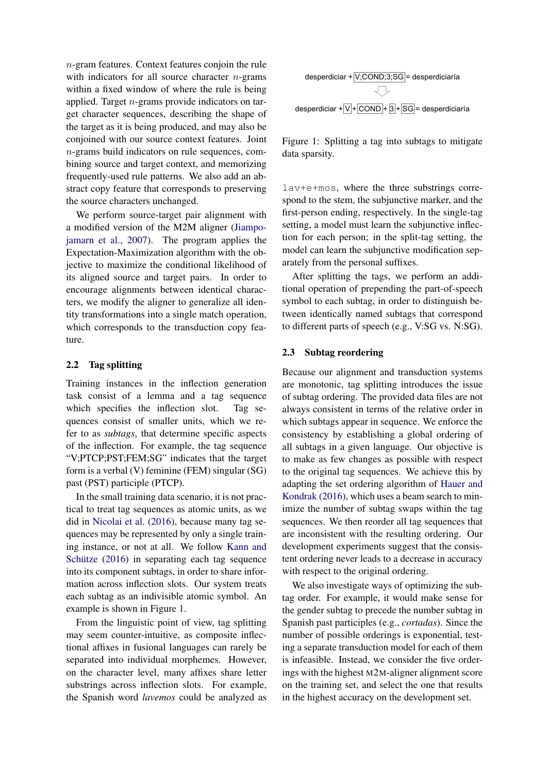n-gram features. Context features conjoin the rule with indicators for all source character  $n$ -grams within a fixed window of where the rule is being applied. Target  $n$ -grams provide indicators on target character sequences, describing the shape of the target as it is being produced, and may also be conjoined with our source context features. Joint n-grams build indicators on rule sequences, combining source and target context, and memorizing frequently-used rule patterns. We also add an abstract copy feature that corresponds to preserving the source characters unchanged.

We perform source-target pair alignment with a modified version of the M2M aligner [\(Jiampo](#page-5-6)[jamarn et al.,](#page-5-6) [2007\)](#page-5-6). The program applies the Expectation-Maximization algorithm with the objective to maximize the conditional likelihood of its aligned source and target pairs. In order to encourage alignments between identical characters, we modify the aligner to generalize all identity transformations into a single match operation, which corresponds to the transduction copy feature.

## 2.2 Tag splitting

Training instances in the inflection generation task consist of a lemma and a tag sequence which specifies the inflection slot. Tag sequences consist of smaller units, which we refer to as *subtags*, that determine specific aspects of the inflection. For example, the tag sequence "V;PTCP;PST;FEM;SG" indicates that the target form is a verbal (V) feminine (FEM) singular (SG) past (PST) participle (PTCP).

In the small training data scenario, it is not practical to treat tag sequences as atomic units, as we did in [Nicolai et al.](#page-5-4) [\(2016\)](#page-5-4), because many tag sequences may be represented by only a single training instance, or not at all. We follow [Kann and](#page-5-7) Schütze  $(2016)$  in separating each tag sequence into its component subtags, in order to share information across inflection slots. Our system treats each subtag as an indivisible atomic symbol. An example is shown in Figure [1.](#page-1-0)

From the linguistic point of view, tag splitting may seem counter-intuitive, as composite inflectional affixes in fusional languages can rarely be separated into individual morphemes. However, on the character level, many affixes share letter substrings across inflection slots. For example, the Spanish word *lavemos* could be analyzed as



<span id="page-1-0"></span>Figure 1: Splitting a tag into subtags to mitigate data sparsity.

lav+e+mos, where the three substrings correspond to the stem, the subjunctive marker, and the first-person ending, respectively. In the single-tag setting, a model must learn the subjunctive inflection for each person; in the split-tag setting, the model can learn the subjunctive modification separately from the personal suffixes.

After splitting the tags, we perform an additional operation of prepending the part-of-speech symbol to each subtag, in order to distinguish between identically named subtags that correspond to different parts of speech (e.g., V:SG vs. N:SG).

# <span id="page-1-1"></span>2.3 Subtag reordering

Because our alignment and transduction systems are monotonic, tag splitting introduces the issue of subtag ordering. The provided data files are not always consistent in terms of the relative order in which subtags appear in sequence. We enforce the consistency by establishing a global ordering of all subtags in a given language. Our objective is to make as few changes as possible with respect to the original tag sequences. We achieve this by adapting the set ordering algorithm of [Hauer and](#page-5-8) [Kondrak](#page-5-8) [\(2016\)](#page-5-8), which uses a beam search to minimize the number of subtag swaps within the tag sequences. We then reorder all tag sequences that are inconsistent with the resulting ordering. Our development experiments suggest that the consistent ordering never leads to a decrease in accuracy with respect to the original ordering.

We also investigate ways of optimizing the subtag order. For example, it would make sense for the gender subtag to precede the number subtag in Spanish past participles (e.g., *cortadas*). Since the number of possible orderings is exponential, testing a separate transduction model for each of them is infeasible. Instead, we consider the five orderings with the highest M2M-aligner alignment score on the training set, and select the one that results in the highest accuracy on the development set.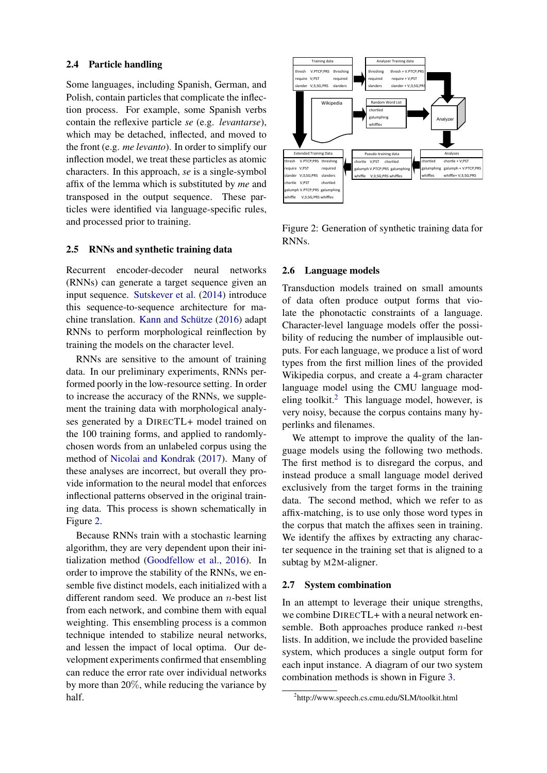### 2.4 Particle handling

Some languages, including Spanish, German, and Polish, contain particles that complicate the inflection process. For example, some Spanish verbs contain the reflexive particle *se* (e.g. *levantarse*), which may be detached, inflected, and moved to the front (e.g. *me levanto*). In order to simplify our inflection model, we treat these particles as atomic characters. In this approach, *se* is a single-symbol affix of the lemma which is substituted by *me* and transposed in the output sequence. These particles were identified via language-specific rules, and processed prior to training.

#### <span id="page-2-3"></span>2.5 RNNs and synthetic training data

Recurrent encoder-decoder neural networks (RNNs) can generate a target sequence given an input sequence. [Sutskever et al.](#page-5-9) [\(2014\)](#page-5-9) introduce this sequence-to-sequence architecture for machine translation. Kann and Schütze  $(2016)$  adapt RNNs to perform morphological reinflection by training the models on the character level.

RNNs are sensitive to the amount of training data. In our preliminary experiments, RNNs performed poorly in the low-resource setting. In order to increase the accuracy of the RNNs, we supplement the training data with morphological analyses generated by a DIRECTL+ model trained on the 100 training forms, and applied to randomlychosen words from an unlabeled corpus using the method of [Nicolai and Kondrak](#page-5-10) [\(2017\)](#page-5-10). Many of these analyses are incorrect, but overall they provide information to the neural model that enforces inflectional patterns observed in the original training data. This process is shown schematically in Figure [2.](#page-2-0)

Because RNNs train with a stochastic learning algorithm, they are very dependent upon their initialization method [\(Goodfellow et al.,](#page-5-11) [2016\)](#page-5-11). In order to improve the stability of the RNNs, we ensemble five distinct models, each initialized with a different random seed. We produce an  $n$ -best list from each network, and combine them with equal weighting. This ensembling process is a common technique intended to stabilize neural networks, and lessen the impact of local optima. Our development experiments confirmed that ensembling can reduce the error rate over individual networks by more than 20%, while reducing the variance by half.



<span id="page-2-0"></span>Figure 2: Generation of synthetic training data for RNNs.

#### <span id="page-2-2"></span>2.6 Language models

Transduction models trained on small amounts of data often produce output forms that violate the phonotactic constraints of a language. Character-level language models offer the possibility of reducing the number of implausible outputs. For each language, we produce a list of word types from the first million lines of the provided Wikipedia corpus, and create a 4-gram character language model using the CMU language modeling toolkit. $2$  This language model, however, is very noisy, because the corpus contains many hyperlinks and filenames.

We attempt to improve the quality of the language models using the following two methods. The first method is to disregard the corpus, and instead produce a small language model derived exclusively from the target forms in the training data. The second method, which we refer to as affix-matching, is to use only those word types in the corpus that match the affixes seen in training. We identify the affixes by extracting any character sequence in the training set that is aligned to a subtag by M2M-aligner.

#### 2.7 System combination

In an attempt to leverage their unique strengths, we combine DIRECTL+ with a neural network ensemble. Both approaches produce ranked  $n$ -best lists. In addition, we include the provided baseline system, which produces a single output form for each input instance. A diagram of our two system combination methods is shown in Figure [3.](#page-3-0)

<span id="page-2-1"></span><sup>2</sup> http://www.speech.cs.cmu.edu/SLM/toolkit.html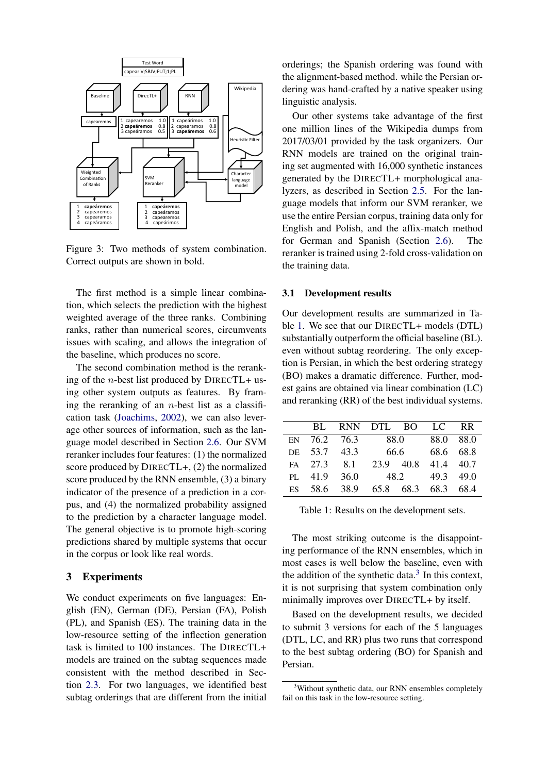

<span id="page-3-0"></span>Figure 3: Two methods of system combination. Correct outputs are shown in bold.

The first method is a simple linear combination, which selects the prediction with the highest weighted average of the three ranks. Combining ranks, rather than numerical scores, circumvents issues with scaling, and allows the integration of the baseline, which produces no score.

The second combination method is the reranking of the *n*-best list produced by DIRECTL+ using other system outputs as features. By framing the reranking of an  $n$ -best list as a classification task [\(Joachims,](#page-5-12) [2002\)](#page-5-12), we can also leverage other sources of information, such as the language model described in Section [2.6.](#page-2-2) Our SVM reranker includes four features: (1) the normalized score produced by DIRECTL+, (2) the normalized score produced by the RNN ensemble, (3) a binary indicator of the presence of a prediction in a corpus, and (4) the normalized probability assigned to the prediction by a character language model. The general objective is to promote high-scoring predictions shared by multiple systems that occur in the corpus or look like real words.

## 3 Experiments

We conduct experiments on five languages: English (EN), German (DE), Persian (FA), Polish (PL), and Spanish (ES). The training data in the low-resource setting of the inflection generation task is limited to 100 instances. The DIRECTL+ models are trained on the subtag sequences made consistent with the method described in Section [2.3.](#page-1-1) For two languages, we identified best subtag orderings that are different from the initial orderings; the Spanish ordering was found with the alignment-based method. while the Persian ordering was hand-crafted by a native speaker using linguistic analysis.

Our other systems take advantage of the first one million lines of the Wikipedia dumps from 2017/03/01 provided by the task organizers. Our RNN models are trained on the original training set augmented with 16,000 synthetic instances generated by the DIRECTL+ morphological analyzers, as described in Section [2.5.](#page-2-3) For the language models that inform our SVM reranker, we use the entire Persian corpus, training data only for English and Polish, and the affix-match method for German and Spanish (Section [2.6\)](#page-2-2). The reranker is trained using 2-fold cross-validation on the training data.

#### 3.1 Development results

Our development results are summarized in Table [1.](#page-3-1) We see that our DIRECTL+ models (DTL) substantially outperform the official baseline (BL). even without subtag reordering. The only exception is Persian, in which the best ordering strategy (BO) makes a dramatic difference. Further, modest gains are obtained via linear combination (LC) and reranking (RR) of the best individual systems.

|    |              | BL RNN DTL BO |                |           | LC RR     |      |
|----|--------------|---------------|----------------|-----------|-----------|------|
|    | EN 76.2 76.3 |               | 88.0           |           | 88.0 88.0 |      |
|    | DE 53.7 43.3 |               | 66.6           |           | 68.6 68.8 |      |
|    | FA 27.3 8.1  |               |                | 23.9 40.8 | 41.4 40.7 |      |
|    | PL 41.9 36.0 |               | 48.2 49.3 49.0 |           |           |      |
| ES |              | 58.6 38.9     |                | 65.8 68.3 | 68.3      | 68.4 |

<span id="page-3-1"></span>Table 1: Results on the development sets.

The most striking outcome is the disappointing performance of the RNN ensembles, which in most cases is well below the baseline, even with the addition of the synthetic data. $3$  In this context, it is not surprising that system combination only minimally improves over DIRECTL+ by itself.

Based on the development results, we decided to submit 3 versions for each of the 5 languages (DTL, LC, and RR) plus two runs that correspond to the best subtag ordering (BO) for Spanish and Persian.

<span id="page-3-2"></span><sup>&</sup>lt;sup>3</sup>Without synthetic data, our RNN ensembles completely fail on this task in the low-resource setting.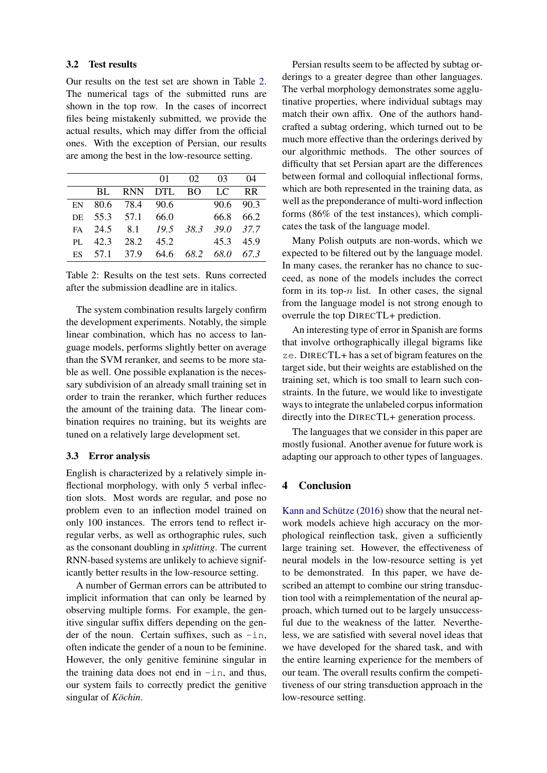#### 3.2 Test results

Our results on the test set are shown in Table [2.](#page-4-0) The numerical tags of the submitted runs are shown in the top row. In the cases of incorrect files being mistakenly submitted, we provide the actual results, which may differ from the official ones. With the exception of Persian, our results are among the best in the low-resource setting.

|  | 01 |                   | 04                                                                                                                                                                                |
|--|----|-------------------|-----------------------------------------------------------------------------------------------------------------------------------------------------------------------------------|
|  |    |                   |                                                                                                                                                                                   |
|  |    |                   |                                                                                                                                                                                   |
|  |    |                   |                                                                                                                                                                                   |
|  |    |                   |                                                                                                                                                                                   |
|  |    |                   |                                                                                                                                                                                   |
|  |    |                   |                                                                                                                                                                                   |
|  |    | DE 55.3 57.1 66.0 | 02 03<br>BL RNN DTL BO LC RR<br>EN 80.6 78.4 90.6 90.6 90.3<br>66.8 66.2<br>FA 24.5 8.1 19.5 38.3 39.0 37.7<br>PL 42.3 28.2 45.2<br>45.3 45.9<br>ES 57.1 37.9 64.6 68.2 68.0 67.3 |

<span id="page-4-0"></span>Table 2: Results on the test sets. Runs corrected after the submission deadline are in italics.

The system combination results largely confirm the development experiments. Notably, the simple linear combination, which has no access to language models, performs slightly better on average than the SVM reranker, and seems to be more stable as well. One possible explanation is the necessary subdivision of an already small training set in order to train the reranker, which further reduces the amount of the training data. The linear combination requires no training, but its weights are tuned on a relatively large development set.

# 3.3 Error analysis

English is characterized by a relatively simple inflectional morphology, with only 5 verbal inflection slots. Most words are regular, and pose no problem even to an inflection model trained on only 100 instances. The errors tend to reflect irregular verbs, as well as orthographic rules, such as the consonant doubling in *splitting*. The current RNN-based systems are unlikely to achieve significantly better results in the low-resource setting.

A number of German errors can be attributed to implicit information that can only be learned by observing multiple forms. For example, the genitive singular suffix differs depending on the gender of the noun. Certain suffixes, such as  $-$ in, often indicate the gender of a noun to be feminine. However, the only genitive feminine singular in the training data does not end in  $-$ in, and thus, our system fails to correctly predict the genitive singular of *Köchin*.

Persian results seem to be affected by subtag orderings to a greater degree than other languages. The verbal morphology demonstrates some agglutinative properties, where individual subtags may match their own affix. One of the authors handcrafted a subtag ordering, which turned out to be much more effective than the orderings derived by our algorithmic methods. The other sources of difficulty that set Persian apart are the differences between formal and colloquial inflectional forms, which are both represented in the training data, as well as the preponderance of multi-word inflection forms (86% of the test instances), which complicates the task of the language model.

Many Polish outputs are non-words, which we expected to be filtered out by the language model. In many cases, the reranker has no chance to succeed, as none of the models includes the correct form in its top- $n$  list. In other cases, the signal from the language model is not strong enough to overrule the top DIRECTL+ prediction.

An interesting type of error in Spanish are forms that involve orthographically illegal bigrams like ze. DIRECTL+ has a set of bigram features on the target side, but their weights are established on the training set, which is too small to learn such constraints. In the future, we would like to investigate ways to integrate the unlabeled corpus information directly into the DIRECTL+ generation process.

The languages that we consider in this paper are mostly fusional. Another avenue for future work is adapting our approach to other types of languages.

#### 4 Conclusion

Kann and Schütze  $(2016)$  show that the neural network models achieve high accuracy on the morphological reinflection task, given a sufficiently large training set. However, the effectiveness of neural models in the low-resource setting is yet to be demonstrated. In this paper, we have described an attempt to combine our string transduction tool with a reimplementation of the neural approach, which turned out to be largely unsuccessful due to the weakness of the latter. Nevertheless, we are satisfied with several novel ideas that we have developed for the shared task, and with the entire learning experience for the members of our team. The overall results confirm the competitiveness of our string transduction approach in the low-resource setting.